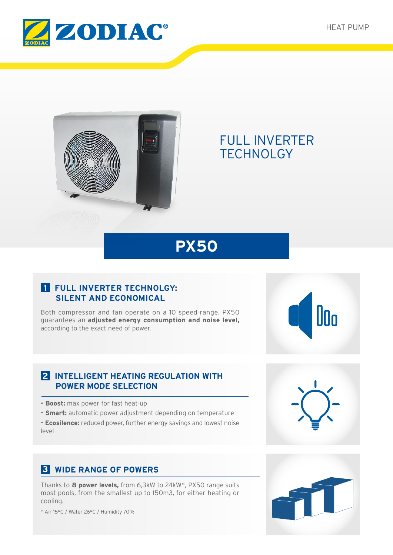



# FULL INVERTER **TECHNOLGY**

# **PX50**

## **1 FULL INVERTER TECHNOLGY: SILENT AND ECONOMICAL**

Both compressor and fan operate on a 10 speed-range. PX50 guarantees an **adjusted energy consumption and noise level,** according to the exact need of power.

### **2 INTELLIGENT HEATING REGULATION WITH POWER MODE SELECTION**

- **Boost:** max power for fast heat-up
- **Smart:** automatic power adjustment depending on temperature

**- Ecosilence:** reduced power, further energy savings and lowest noise level

# **3 WIDE RANGE OF POWERS**

Thanks to **8 power levels,** from 6,3kW to 24kW\*, PX50 range suits most pools, from the smallest up to 150m3, for either heating or cooling.

\* Air 15°C / Water 26°C / Humidity 70%



n